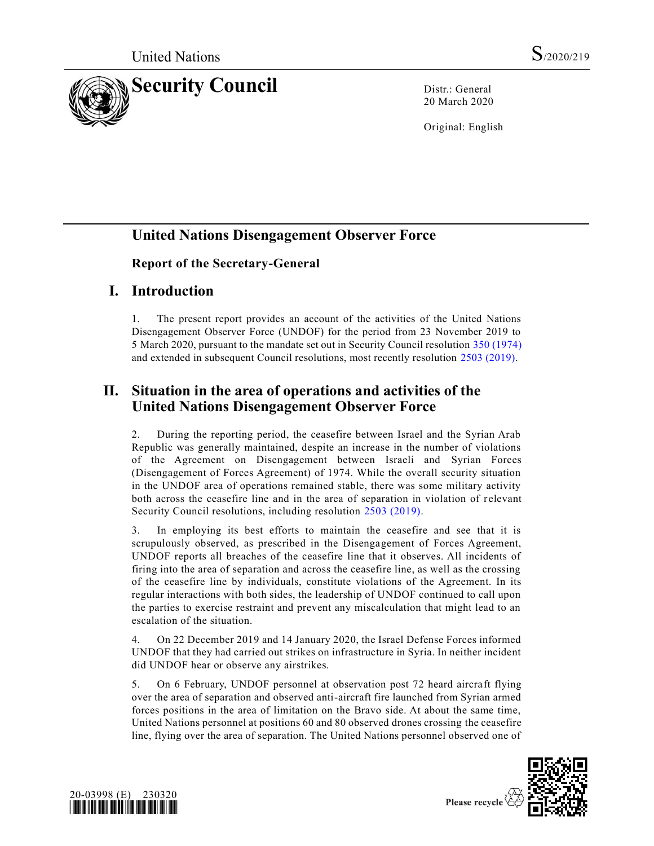

20 March 2020

Original: English

# **United Nations Disengagement Observer Force**

### **Report of the Secretary-General**

## **I. Introduction**

1. The present report provides an account of the activities of the United Nations Disengagement Observer Force (UNDOF) for the period from 23 November 2019 to 5 March 2020, pursuant to the mandate set out in Security Council resolution [350 \(1974\)](https://undocs.org/en/S/RES/350(1974)) and extended in subsequent Council resolutions, most recently resolution [2503 \(2019\).](https://undocs.org/en/S/RES/2503(2019))

# **II. Situation in the area of operations and activities of the United Nations Disengagement Observer Force**

2. During the reporting period, the ceasefire between Israel and the Syrian Arab Republic was generally maintained, despite an increase in the number of violations of the Agreement on Disengagement between Israeli and Syrian Forces (Disengagement of Forces Agreement) of 1974. While the overall security situation in the UNDOF area of operations remained stable, there was some military activity both across the ceasefire line and in the area of separation in violation of r elevant Security Council resolutions, including resolution [2503 \(2019\).](https://undocs.org/en/S/RES/2503(2019))

3. In employing its best efforts to maintain the ceasefire and see that it is scrupulously observed, as prescribed in the Disengagement of Forces Agreement, UNDOF reports all breaches of the ceasefire line that it observes. All incidents of firing into the area of separation and across the ceasefire line, as well as the crossing of the ceasefire line by individuals, constitute violations of the Agreement. In its regular interactions with both sides, the leadership of UNDOF continued to call upon the parties to exercise restraint and prevent any miscalculation that might lead to an escalation of the situation.

4. On 22 December 2019 and 14 January 2020, the Israel Defense Forces informed UNDOF that they had carried out strikes on infrastructure in Syria. In neither incident did UNDOF hear or observe any airstrikes.

5. On 6 February, UNDOF personnel at observation post 72 heard aircraft flying over the area of separation and observed anti-aircraft fire launched from Syrian armed forces positions in the area of limitation on the Bravo side. At about the same time, United Nations personnel at positions 60 and 80 observed drones crossing the ceasefire line, flying over the area of separation. The United Nations personnel observed one of



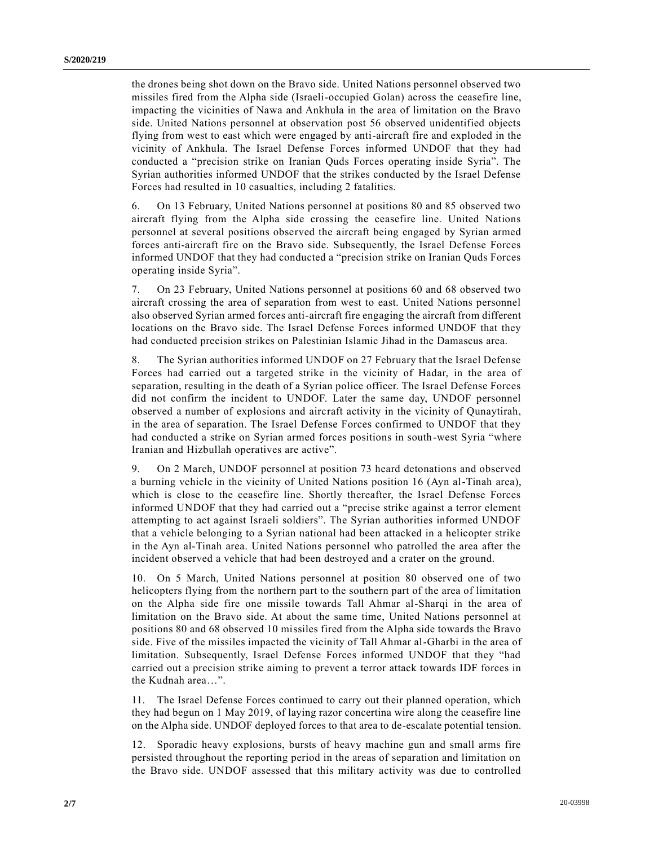the drones being shot down on the Bravo side. United Nations personnel observed two missiles fired from the Alpha side (Israeli-occupied Golan) across the ceasefire line, impacting the vicinities of Nawa and Ankhula in the area of limitation on the Bravo side. United Nations personnel at observation post 56 observed unidentified objects flying from west to east which were engaged by anti-aircraft fire and exploded in the vicinity of Ankhula. The Israel Defense Forces informed UNDOF that they had conducted a "precision strike on Iranian Quds Forces operating inside Syria". The Syrian authorities informed UNDOF that the strikes conducted by the Israel Defense Forces had resulted in 10 casualties, including 2 fatalities.

6. On 13 February, United Nations personnel at positions 80 and 85 observed two aircraft flying from the Alpha side crossing the ceasefire line. United Nations personnel at several positions observed the aircraft being engaged by Syrian armed forces anti-aircraft fire on the Bravo side. Subsequently, the Israel Defense Forces informed UNDOF that they had conducted a "precision strike on Iranian Quds Forces operating inside Syria".

7. On 23 February, United Nations personnel at positions 60 and 68 observed two aircraft crossing the area of separation from west to east. United Nations personnel also observed Syrian armed forces anti-aircraft fire engaging the aircraft from different locations on the Bravo side. The Israel Defense Forces informed UNDOF that they had conducted precision strikes on Palestinian Islamic Jihad in the Damascus area.

8. The Syrian authorities informed UNDOF on 27 February that the Israel Defense Forces had carried out a targeted strike in the vicinity of Hadar, in the area of separation, resulting in the death of a Syrian police officer. The Israel Defense Forces did not confirm the incident to UNDOF. Later the same day, UNDOF personnel observed a number of explosions and aircraft activity in the vicinity of Qunaytirah, in the area of separation. The Israel Defense Forces confirmed to UNDOF that they had conducted a strike on Syrian armed forces positions in south-west Syria "where Iranian and Hizbullah operatives are active".

9. On 2 March, UNDOF personnel at position 73 heard detonations and observed a burning vehicle in the vicinity of United Nations position 16 (Ayn al-Tinah area), which is close to the ceasefire line. Shortly thereafter, the Israel Defense Forces informed UNDOF that they had carried out a "precise strike against a terror element attempting to act against Israeli soldiers". The Syrian authorities informed UNDOF that a vehicle belonging to a Syrian national had been attacked in a helicopter strike in the Ayn al-Tinah area. United Nations personnel who patrolled the area after the incident observed a vehicle that had been destroyed and a crater on the ground.

10. On 5 March, United Nations personnel at position 80 observed one of two helicopters flying from the northern part to the southern part of the area of limitation on the Alpha side fire one missile towards Tall Ahmar al-Sharqi in the area of limitation on the Bravo side. At about the same time, United Nations personnel at positions 80 and 68 observed 10 missiles fired from the Alpha side towards the Bravo side. Five of the missiles impacted the vicinity of Tall Ahmar al-Gharbi in the area of limitation. Subsequently, Israel Defense Forces informed UNDOF that they "had carried out a precision strike aiming to prevent a terror attack towards IDF forces in the Kudnah area…".

11. The Israel Defense Forces continued to carry out their planned operation, which they had begun on 1 May 2019, of laying razor concertina wire along the ceasefire line on the Alpha side. UNDOF deployed forces to that area to de-escalate potential tension.

12. Sporadic heavy explosions, bursts of heavy machine gun and small arms fire persisted throughout the reporting period in the areas of separation and limitation on the Bravo side. UNDOF assessed that this military activity was due to controlled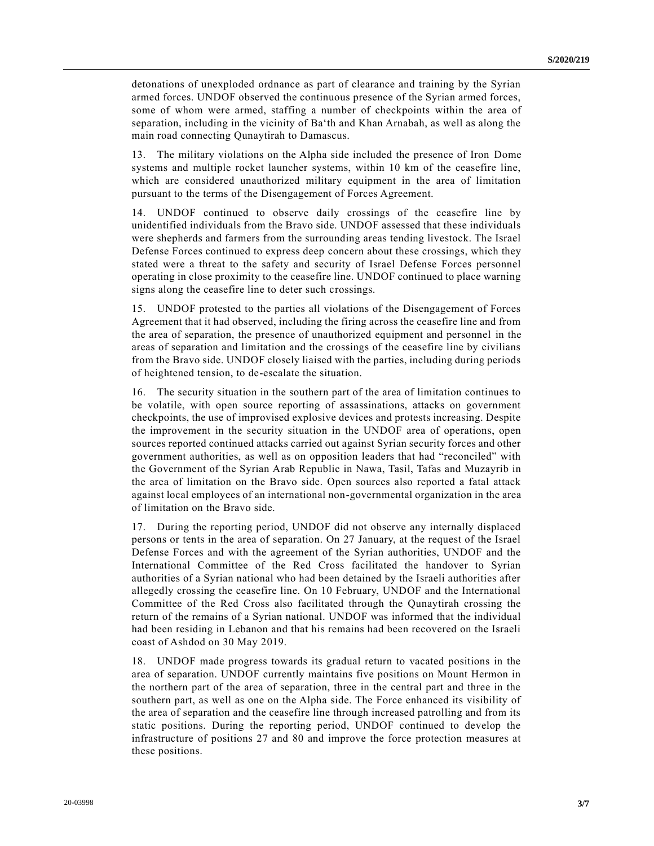detonations of unexploded ordnance as part of clearance and training by the Syrian armed forces. UNDOF observed the continuous presence of the Syrian armed forces, some of whom were armed, staffing a number of checkpoints within the area of separation, including in the vicinity of Ba'th and Khan Arnabah, as well as along the main road connecting Qunaytirah to Damascus.

13. The military violations on the Alpha side included the presence of Iron Dome systems and multiple rocket launcher systems, within 10 km of the ceasefire line, which are considered unauthorized military equipment in the area of limitation pursuant to the terms of the Disengagement of Forces Agreement.

14. UNDOF continued to observe daily crossings of the ceasefire line by unidentified individuals from the Bravo side. UNDOF assessed that these individuals were shepherds and farmers from the surrounding areas tending livestock. The Israel Defense Forces continued to express deep concern about these crossings, which they stated were a threat to the safety and security of Israel Defense Forces personnel operating in close proximity to the ceasefire line. UNDOF continued to place warning signs along the ceasefire line to deter such crossings.

15. UNDOF protested to the parties all violations of the Disengagement of Forces Agreement that it had observed, including the firing across the ceasefire line and from the area of separation, the presence of unauthorized equipment and personnel in the areas of separation and limitation and the crossings of the ceasefire line by civilians from the Bravo side. UNDOF closely liaised with the parties, including during periods of heightened tension, to de-escalate the situation.

16. The security situation in the southern part of the area of limitation continues to be volatile, with open source reporting of assassinations, attacks on government checkpoints, the use of improvised explosive devices and protests increasing. Despite the improvement in the security situation in the UNDOF area of operations, open sources reported continued attacks carried out against Syrian security forces and other government authorities, as well as on opposition leaders that had "reconciled" with the Government of the Syrian Arab Republic in Nawa, Tasil, Tafas and Muzayrib in the area of limitation on the Bravo side. Open sources also reported a fatal attack against local employees of an international non-governmental organization in the area of limitation on the Bravo side.

17. During the reporting period, UNDOF did not observe any internally displaced persons or tents in the area of separation. On 27 January, at the request of the Israel Defense Forces and with the agreement of the Syrian authorities, UNDOF and the International Committee of the Red Cross facilitated the handover to Syrian authorities of a Syrian national who had been detained by the Israeli authorities after allegedly crossing the ceasefire line. On 10 February, UNDOF and the International Committee of the Red Cross also facilitated through the Qunaytirah crossing the return of the remains of a Syrian national. UNDOF was informed that the individual had been residing in Lebanon and that his remains had been recovered on the Israeli coast of Ashdod on 30 May 2019.

18. UNDOF made progress towards its gradual return to vacated positions in the area of separation. UNDOF currently maintains five positions on Mount Hermon in the northern part of the area of separation, three in the central part and three in the southern part, as well as one on the Alpha side. The Force enhanced its visibility of the area of separation and the ceasefire line through increased patrolling and from its static positions. During the reporting period, UNDOF continued to develop the infrastructure of positions 27 and 80 and improve the force protection measures at these positions.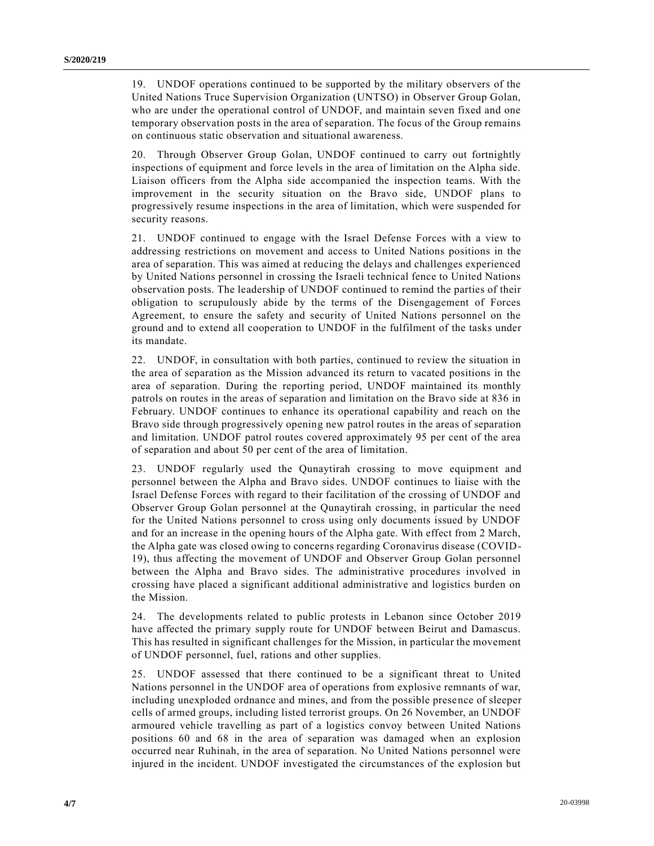19. UNDOF operations continued to be supported by the military observers of the United Nations Truce Supervision Organization (UNTSO) in Observer Group Golan, who are under the operational control of UNDOF, and maintain seven fixed and one temporary observation posts in the area of separation. The focus of the Group remains on continuous static observation and situational awareness.

20. Through Observer Group Golan, UNDOF continued to carry out fortnightly inspections of equipment and force levels in the area of limitation on the Alpha side. Liaison officers from the Alpha side accompanied the inspection teams. With the improvement in the security situation on the Bravo side, UNDOF plans to progressively resume inspections in the area of limitation, which were suspended for security reasons.

21. UNDOF continued to engage with the Israel Defense Forces with a view to addressing restrictions on movement and access to United Nations positions in the area of separation. This was aimed at reducing the delays and challenges experienced by United Nations personnel in crossing the Israeli technical fence to United Nations observation posts. The leadership of UNDOF continued to remind the parties of their obligation to scrupulously abide by the terms of the Disengagement of Forces Agreement, to ensure the safety and security of United Nations personnel on the ground and to extend all cooperation to UNDOF in the fulfilment of the tasks under its mandate.

22. UNDOF, in consultation with both parties, continued to review the situation in the area of separation as the Mission advanced its return to vacated positions in the area of separation. During the reporting period, UNDOF maintained its monthly patrols on routes in the areas of separation and limitation on the Bravo side at 836 in February. UNDOF continues to enhance its operational capability and reach on the Bravo side through progressively opening new patrol routes in the areas of separation and limitation. UNDOF patrol routes covered approximately 95 per cent of the area of separation and about 50 per cent of the area of limitation.

23. UNDOF regularly used the Qunaytirah crossing to move equipment and personnel between the Alpha and Bravo sides. UNDOF continues to liaise with the Israel Defense Forces with regard to their facilitation of the crossing of UNDOF and Observer Group Golan personnel at the Qunaytirah crossing, in particular the need for the United Nations personnel to cross using only documents issued by UNDOF and for an increase in the opening hours of the Alpha gate. With effect from 2 March, the Alpha gate was closed owing to concerns regarding Coronavirus disease (COVID-19), thus affecting the movement of UNDOF and Observer Group Golan personnel between the Alpha and Bravo sides. The administrative procedures involved in crossing have placed a significant additional administrative and logistics burden on the Mission.

24. The developments related to public protests in Lebanon since October 2019 have affected the primary supply route for UNDOF between Beirut and Damascus. This has resulted in significant challenges for the Mission, in particular the movement of UNDOF personnel, fuel, rations and other supplies.

25. UNDOF assessed that there continued to be a significant threat to United Nations personnel in the UNDOF area of operations from explosive remnants of war, including unexploded ordnance and mines, and from the possible presence of sleeper cells of armed groups, including listed terrorist groups. On 26 November, an UNDOF armoured vehicle travelling as part of a logistics convoy between United Nations positions 60 and 68 in the area of separation was damaged when an explosion occurred near Ruhinah, in the area of separation. No United Nations personnel were injured in the incident. UNDOF investigated the circumstances of the explosion but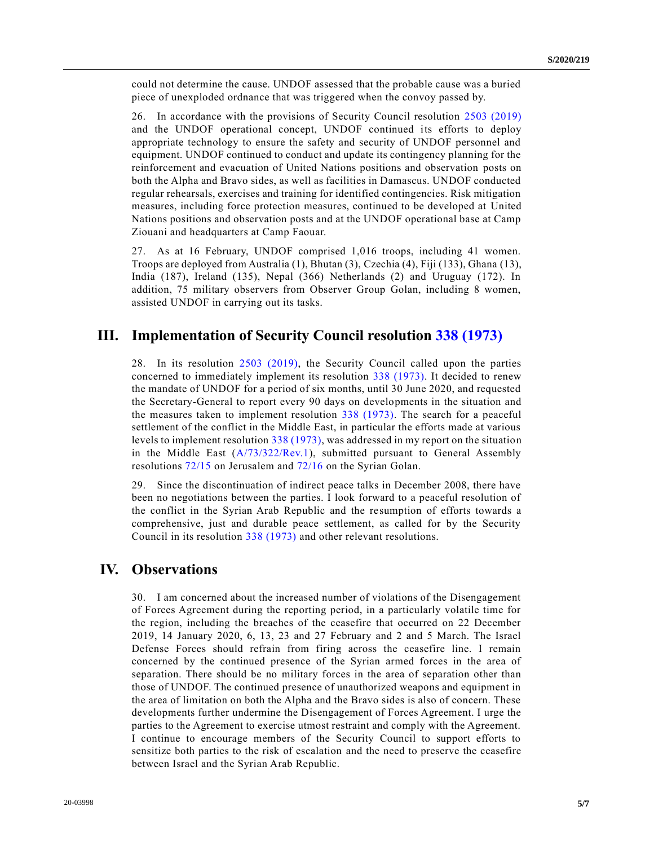could not determine the cause. UNDOF assessed that the probable cause was a buried piece of unexploded ordnance that was triggered when the convoy passed by.

26. In accordance with the provisions of Security Council resolution [2503 \(2019\)](https://undocs.org/en/S/RES/2503(2019)) and the UNDOF operational concept, UNDOF continued its efforts to deploy appropriate technology to ensure the safety and security of UNDOF personnel and equipment. UNDOF continued to conduct and update its contingency planning for the reinforcement and evacuation of United Nations positions and observation posts on both the Alpha and Bravo sides, as well as facilities in Damascus. UNDOF conducted regular rehearsals, exercises and training for identified contingencies. Risk mitigation measures, including force protection measures, continued to be developed at United Nations positions and observation posts and at the UNDOF operational base at Camp Ziouani and headquarters at Camp Faouar.

27. As at 16 February, UNDOF comprised 1,016 troops, including 41 women. Troops are deployed from Australia (1), Bhutan (3), Czechia (4), Fiji (133), Ghana (13), India (187), Ireland (135), Nepal (366) Netherlands (2) and Uruguay (172). In addition, 75 military observers from Observer Group Golan, including 8 women, assisted UNDOF in carrying out its tasks.

#### **III. Implementation of Security Council resolution [338 \(1973\)](https://undocs.org/en/S/RES/338(1973))**

28. In its resolution [2503 \(2019\),](https://undocs.org/en/S/RES/2503(2019)) the Security Council called upon the parties concerned to immediately implement its resolution [338 \(1973\).](https://undocs.org/en/S/RES/338(1973)) It decided to renew the mandate of UNDOF for a period of six months, until 30 June 2020, and requested the Secretary-General to report every 90 days on developments in the situation and the measures taken to implement resolution [338 \(1973\).](https://undocs.org/en/S/RES/338(1973)) The search for a peaceful settlement of the conflict in the Middle East, in particular the efforts made at various levels to implement resolution [338 \(1973\),](https://undocs.org/en/S/RES/338(1973)) was addressed in my report on the situation in the Middle East [\(A/73/322/Rev.1\)](https://undocs.org/en/A/73/322/Rev.1), submitted pursuant to General Assembly resolutions [72/15](https://undocs.org/en/A/RES/72/15) on Jerusalem and [72/16](https://undocs.org/en/A/RES/72/16) on the Syrian Golan.

29. Since the discontinuation of indirect peace talks in December 2008, there have been no negotiations between the parties. I look forward to a peaceful resolution of the conflict in the Syrian Arab Republic and the resumption of efforts towards a comprehensive, just and durable peace settlement, as called for by the Security Council in its resolution [338 \(1973\)](https://undocs.org/en/S/RES/338(1973)) and other relevant resolutions.

#### **IV. Observations**

30. I am concerned about the increased number of violations of the Disengagement of Forces Agreement during the reporting period, in a particularly volatile time for the region, including the breaches of the ceasefire that occurred on 22 December 2019, 14 January 2020, 6, 13, 23 and 27 February and 2 and 5 March. The Israel Defense Forces should refrain from firing across the ceasefire line. I remain concerned by the continued presence of the Syrian armed forces in the area of separation. There should be no military forces in the area of separation other than those of UNDOF. The continued presence of unauthorized weapons and equipment in the area of limitation on both the Alpha and the Bravo sides is also of concern. These developments further undermine the Disengagement of Forces Agreement. I urge the parties to the Agreement to exercise utmost restraint and comply with the Agreement. I continue to encourage members of the Security Council to support efforts to sensitize both parties to the risk of escalation and the need to preserve the ceasefire between Israel and the Syrian Arab Republic.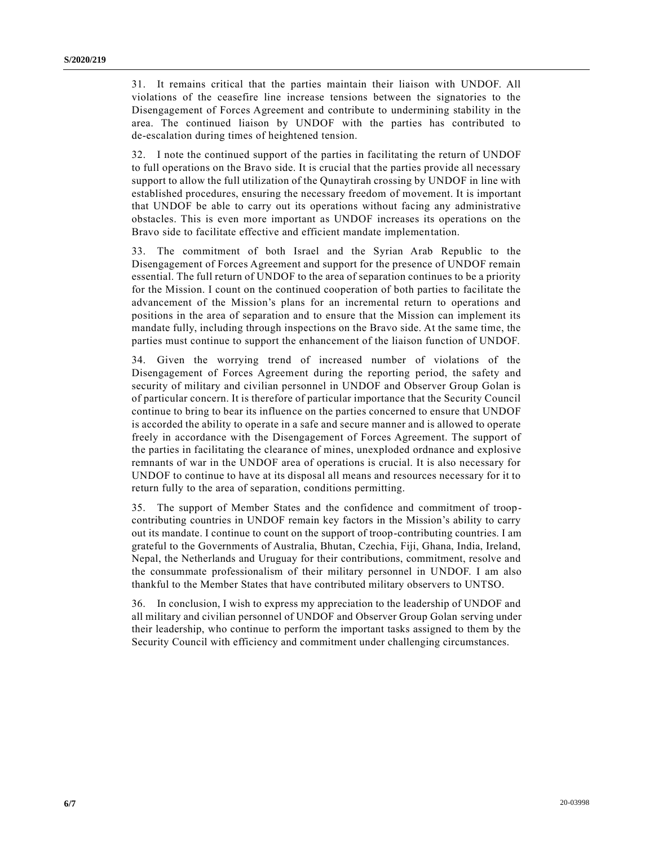31. It remains critical that the parties maintain their liaison with UNDOF. All violations of the ceasefire line increase tensions between the signatories to the Disengagement of Forces Agreement and contribute to undermining stability in the area. The continued liaison by UNDOF with the parties has contributed to de-escalation during times of heightened tension.

32. I note the continued support of the parties in facilitating the return of UNDOF to full operations on the Bravo side. It is crucial that the parties provide all necessary support to allow the full utilization of the Qunaytirah crossing by UNDOF in line with established procedures, ensuring the necessary freedom of movement. It is important that UNDOF be able to carry out its operations without facing any administrative obstacles. This is even more important as UNDOF increases its operations on the Bravo side to facilitate effective and efficient mandate implementation.

33. The commitment of both Israel and the Syrian Arab Republic to the Disengagement of Forces Agreement and support for the presence of UNDOF remain essential. The full return of UNDOF to the area of separation continues to be a priority for the Mission. I count on the continued cooperation of both parties to facilitate the advancement of the Mission's plans for an incremental return to operations and positions in the area of separation and to ensure that the Mission can implement its mandate fully, including through inspections on the Bravo side. At the same time, the parties must continue to support the enhancement of the liaison function of UNDOF.

34. Given the worrying trend of increased number of violations of the Disengagement of Forces Agreement during the reporting period, the safety and security of military and civilian personnel in UNDOF and Observer Group Golan is of particular concern. It is therefore of particular importance that the Security Council continue to bring to bear its influence on the parties concerned to ensure that UNDOF is accorded the ability to operate in a safe and secure manner and is allowed to operate freely in accordance with the Disengagement of Forces Agreement. The support of the parties in facilitating the clearance of mines, unexploded ordnance and explosive remnants of war in the UNDOF area of operations is crucial. It is also necessary for UNDOF to continue to have at its disposal all means and resources necessary for it to return fully to the area of separation, conditions permitting.

35. The support of Member States and the confidence and commitment of troopcontributing countries in UNDOF remain key factors in the Mission's ability to carry out its mandate. I continue to count on the support of troop-contributing countries. I am grateful to the Governments of Australia, Bhutan, Czechia, Fiji, Ghana, India, Ireland, Nepal, the Netherlands and Uruguay for their contributions, commitment, resolve and the consummate professionalism of their military personnel in UNDOF. I am also thankful to the Member States that have contributed military observers to UNTSO.

36. In conclusion, I wish to express my appreciation to the leadership of UNDOF and all military and civilian personnel of UNDOF and Observer Group Golan serving under their leadership, who continue to perform the important tasks assigned to them by the Security Council with efficiency and commitment under challenging circumstances.